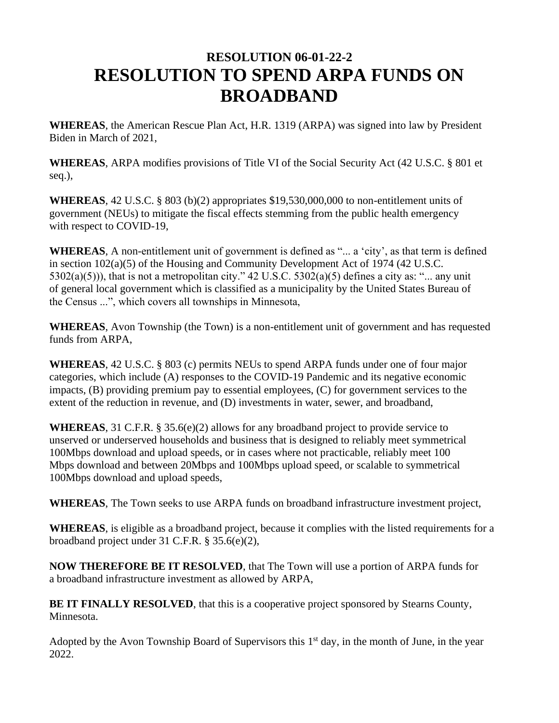# **RESOLUTION 06-01-22-2 RESOLUTION TO SPEND ARPA FUNDS ON BROADBAND**

**WHEREAS**, the American Rescue Plan Act, H.R. 1319 (ARPA) was signed into law by President Biden in March of 2021,

**WHEREAS**, ARPA modifies provisions of Title VI of the Social Security Act (42 U.S.C. § 801 et seq.),

**WHEREAS**, 42 U.S.C. § 803 (b)(2) appropriates \$19,530,000,000 to non-entitlement units of government (NEUs) to mitigate the fiscal effects stemming from the public health emergency with respect to COVID-19,

**WHEREAS**, A non-entitlement unit of government is defined as "... a 'city', as that term is defined in section 102(a)(5) of the Housing and Community Development Act of 1974 (42 U.S.C.  $5302(a)(5)$ ), that is not a metropolitan city."  $42 \text{ U.S.C. } 5302(a)(5)$  defines a city as: "... any unit of general local government which is classified as a municipality by the United States Bureau of the Census ...", which covers all townships in Minnesota,

**WHEREAS**, Avon Township (the Town) is a non-entitlement unit of government and has requested funds from ARPA,

**WHEREAS**, 42 U.S.C. § 803 (c) permits NEUs to spend ARPA funds under one of four major categories, which include (A) responses to the COVID-19 Pandemic and its negative economic impacts, (B) providing premium pay to essential employees, (C) for government services to the extent of the reduction in revenue, and (D) investments in water, sewer, and broadband,

**WHEREAS**, 31 C.F.R. § 35.6(e)(2) allows for any broadband project to provide service to unserved or underserved households and business that is designed to reliably meet symmetrical 100Mbps download and upload speeds, or in cases where not practicable, reliably meet 100 Mbps download and between 20Mbps and 100Mbps upload speed, or scalable to symmetrical 100Mbps download and upload speeds,

**WHEREAS**, The Town seeks to use ARPA funds on broadband infrastructure investment project,

**WHEREAS**, is eligible as a broadband project, because it complies with the listed requirements for a broadband project under 31 C.F.R. § 35.6(e)(2),

**NOW THEREFORE BE IT RESOLVED**, that The Town will use a portion of ARPA funds for a broadband infrastructure investment as allowed by ARPA,

**BE IT FINALLY RESOLVED**, that this is a cooperative project sponsored by Stearns County, Minnesota.

Adopted by the Avon Township Board of Supervisors this 1<sup>st</sup> day, in the month of June, in the year 2022.